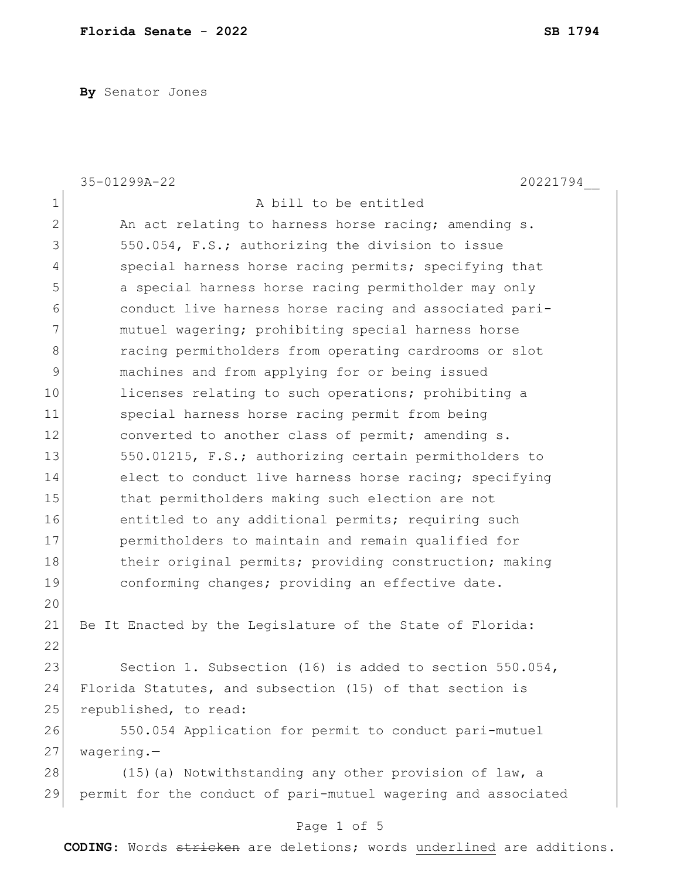**By** Senator Jones

|                | 35-01299A-22<br>20221794                                      |
|----------------|---------------------------------------------------------------|
| 1              | A bill to be entitled                                         |
| $\overline{2}$ | An act relating to harness horse racing; amending s.          |
| 3              | 550.054, F.S.; authorizing the division to issue              |
| 4              | special harness horse racing permits; specifying that         |
| 5              | a special harness horse racing permitholder may only          |
| 6              | conduct live harness horse racing and associated pari-        |
| 7              | mutuel wagering; prohibiting special harness horse            |
| 8              | racing permitholders from operating cardrooms or slot         |
| 9              | machines and from applying for or being issued                |
| 10             | licenses relating to such operations; prohibiting a           |
| 11             | special harness horse racing permit from being                |
| 12             | converted to another class of permit; amending s.             |
| 13             | 550.01215, F.S.; authorizing certain permitholders to         |
| 14             | elect to conduct live harness horse racing; specifying        |
| 15             | that permitholders making such election are not               |
| 16             | entitled to any additional permits; requiring such            |
| 17             | permitholders to maintain and remain qualified for            |
| 18             | their original permits; providing construction; making        |
| 19             | conforming changes; providing an effective date.              |
| 20             |                                                               |
| 21             | Be It Enacted by the Legislature of the State of Florida:     |
| 22             |                                                               |
| 23             | Section 1. Subsection (16) is added to section 550.054,       |
| 24             | Florida Statutes, and subsection (15) of that section is      |
| 25             | republished, to read:                                         |
| 26             | 550.054 Application for permit to conduct pari-mutuel         |
| 27             | $wagering.$ -                                                 |
| 28             | (15) (a) Notwithstanding any other provision of law, a        |
| 29             | permit for the conduct of pari-mutuel wagering and associated |

## Page 1 of 5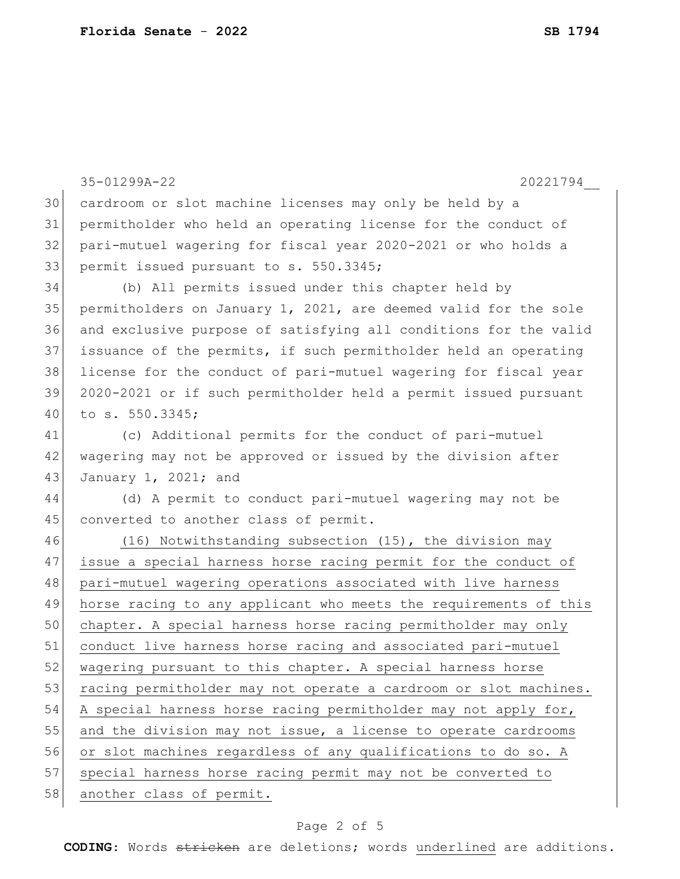|    | 35-01299A-22<br>20221794                                         |
|----|------------------------------------------------------------------|
| 30 | cardroom or slot machine licenses may only be held by a          |
| 31 | permitholder who held an operating license for the conduct of    |
| 32 | pari-mutuel wagering for fiscal year 2020-2021 or who holds a    |
| 33 | permit issued pursuant to s. 550.3345;                           |
| 34 | (b) All permits issued under this chapter held by                |
| 35 | permitholders on January 1, 2021, are deemed valid for the sole  |
| 36 | and exclusive purpose of satisfying all conditions for the valid |
| 37 | issuance of the permits, if such permitholder held an operating  |
| 38 | license for the conduct of pari-mutuel wagering for fiscal year  |
| 39 | 2020-2021 or if such permitholder held a permit issued pursuant  |
| 40 | to s. 550.3345;                                                  |
| 41 | (c) Additional permits for the conduct of pari-mutuel            |
| 42 | wagering may not be approved or issued by the division after     |
| 43 | January 1, 2021; and                                             |
| 44 | (d) A permit to conduct pari-mutuel wagering may not be          |
| 45 | converted to another class of permit.                            |
| 46 | (16) Notwithstanding subsection (15), the division may           |
| 47 | issue a special harness horse racing permit for the conduct of   |
| 48 | pari-mutuel wagering operations associated with live harness     |
| 49 | horse racing to any applicant who meets the requirements of this |
| 50 | chapter. A special harness horse racing permitholder may only    |
| 51 | conduct live harness horse racing and associated pari-mutuel     |
| 52 | wagering pursuant to this chapter. A special harness horse       |
| 53 | racing permitholder may not operate a cardroom or slot machines. |
| 54 | A special harness horse racing permitholder may not apply for,   |
| 55 | and the division may not issue, a license to operate cardrooms   |
| 56 | or slot machines regardless of any qualifications to do so. A    |
| 57 | special harness horse racing permit may not be converted to      |
| 58 | another class of permit.                                         |

## Page 2 of 5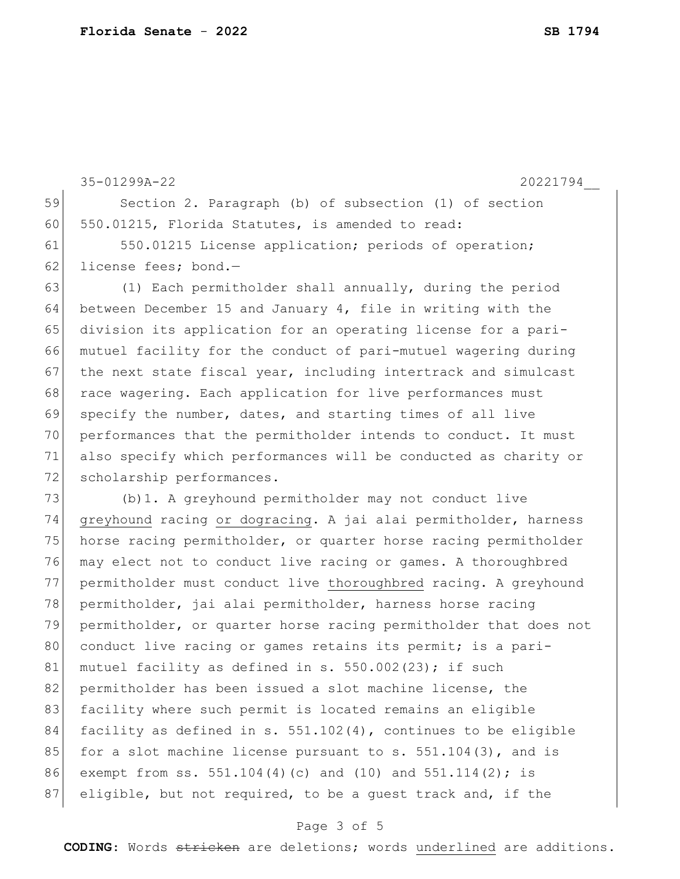35-01299A-22 20221794\_\_ 59 Section 2. Paragraph (b) of subsection (1) of section 60 550.01215, Florida Statutes, is amended to read: 61 550.01215 License application; periods of operation; 62 license fees; bond.-63 (1) Each permitholder shall annually, during the period 64 between December 15 and January 4, file in writing with the 65 division its application for an operating license for a pari-66 mutuel facility for the conduct of pari-mutuel wagering during 67 the next state fiscal year, including intertrack and simulcast 68 race wagering. Each application for live performances must 69 specify the number, dates, and starting times of all live 70 performances that the permitholder intends to conduct. It must 71 also specify which performances will be conducted as charity or 72 scholarship performances. 73 (b)1. A greyhound permitholder may not conduct live 74 greyhound racing or dogracing. A jai alai permitholder, harness 75 horse racing permitholder, or quarter horse racing permitholder 76 may elect not to conduct live racing or games. A thoroughbred 77 permitholder must conduct live thoroughbred racing. A greyhound  $78$  permitholder, jai alai permitholder, harness horse racing 79 permitholder, or quarter horse racing permitholder that does not 80 conduct live racing or games retains its permit; is a pari-81 mutuel facility as defined in s.  $550.002(23)$ ; if such 82 permitholder has been issued a slot machine license, the 83 facility where such permit is located remains an eligible 84 facility as defined in s.  $551.102(4)$ , continues to be eligible 85 for a slot machine license pursuant to s.  $551.104(3)$ , and is 86 exempt from ss. 551.104(4)(c) and (10) and 551.114(2); is 87 eligible, but not required, to be a guest track and, if the

## Page 3 of 5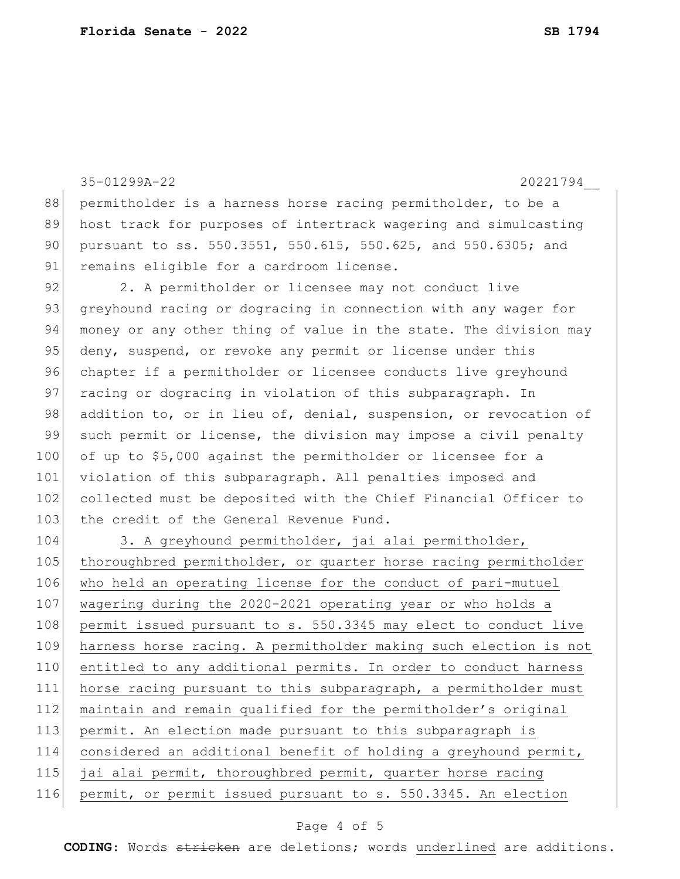35-01299A-22 20221794\_\_ 88 permitholder is a harness horse racing permitholder, to be a 89 host track for purposes of intertrack wagering and simulcasting 90 pursuant to ss. 550.3551, 550.615, 550.625, and 550.6305; and 91 remains eligible for a cardroom license. 92 2. A permitholder or licensee may not conduct live 93 greyhound racing or dogracing in connection with any wager for 94 money or any other thing of value in the state. The division may 95 deny, suspend, or revoke any permit or license under this 96 chapter if a permitholder or licensee conducts live greyhound 97 racing or dogracing in violation of this subparagraph. In 98 addition to, or in lieu of, denial, suspension, or revocation of 99 such permit or license, the division may impose a civil penalty 100 of up to \$5,000 against the permitholder or licensee for a 101 violation of this subparagraph. All penalties imposed and 102 collected must be deposited with the Chief Financial Officer to 103 the credit of the General Revenue Fund. 104 3. A greyhound permitholder, jai alai permitholder, 105 thoroughbred permitholder, or quarter horse racing permitholder 106 who held an operating license for the conduct of pari-mutuel 107 wagering during the 2020-2021 operating year or who holds a 108 permit issued pursuant to s. 550.3345 may elect to conduct live 109 harness horse racing. A permitholder making such election is not 110 entitled to any additional permits. In order to conduct harness 111 horse racing pursuant to this subparagraph, a permitholder must 112 maintain and remain qualified for the permitholder's original 113 permit. An election made pursuant to this subparagraph is 114 considered an additional benefit of holding a greyhound permit, 115 jai alai permit, thoroughbred permit, quarter horse racing 116 permit, or permit issued pursuant to s. 550.3345. An election

## Page 4 of 5